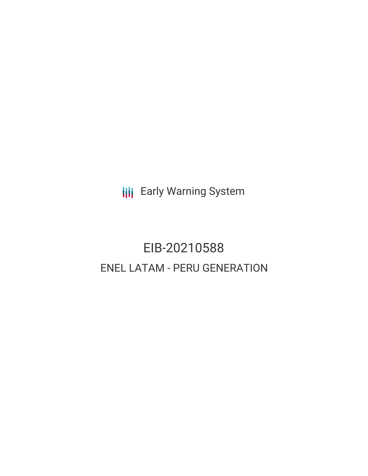**III** Early Warning System

# EIB-20210588 ENEL LATAM - PERU GENERATION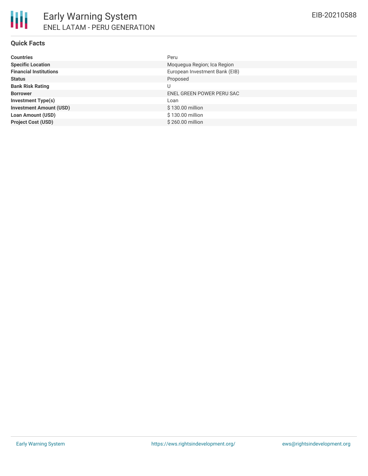#### **Quick Facts**

| <b>Countries</b>               | Peru                           |
|--------------------------------|--------------------------------|
| <b>Specific Location</b>       | Moquegua Region; Ica Region    |
| <b>Financial Institutions</b>  | European Investment Bank (EIB) |
| <b>Status</b>                  | Proposed                       |
| <b>Bank Risk Rating</b>        | U                              |
| <b>Borrower</b>                | ENEL GREEN POWER PERU SAC      |
| <b>Investment Type(s)</b>      | Loan                           |
| <b>Investment Amount (USD)</b> | \$130.00 million               |
| <b>Loan Amount (USD)</b>       | \$130.00 million               |
| <b>Project Cost (USD)</b>      | \$260.00 million               |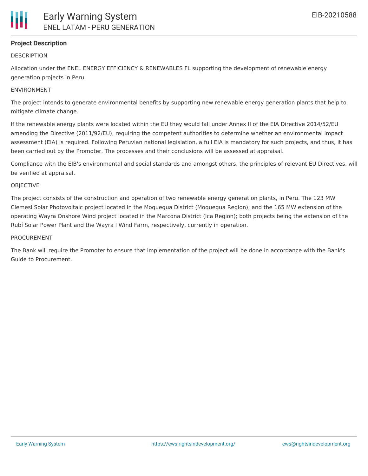# **Project Description**

### **DESCRIPTION**

Allocation under the ENEL ENERGY EFFICIENCY & RENEWABLES FL supporting the development of renewable energy generation projects in Peru.

## ENVIRONMENT

The project intends to generate environmental benefits by supporting new renewable energy generation plants that help to mitigate climate change.

If the renewable energy plants were located within the EU they would fall under Annex II of the EIA Directive 2014/52/EU amending the Directive (2011/92/EU), requiring the competent authorities to determine whether an environmental impact assessment (EIA) is required. Following Peruvian national legislation, a full EIA is mandatory for such projects, and thus, it has been carried out by the Promoter. The processes and their conclusions will be assessed at appraisal.

Compliance with the EIB's environmental and social standards and amongst others, the principles of relevant EU Directives, will be verified at appraisal.

#### **OBJECTIVE**

The project consists of the construction and operation of two renewable energy generation plants, in Peru. The 123 MW Clemesi Solar Photovoltaic project located in the Moquegua District (Moquegua Region); and the 165 MW extension of the operating Wayra Onshore Wind project located in the Marcona District (Ica Region); both projects being the extension of the Rubí Solar Power Plant and the Wayra I Wind Farm, respectively, currently in operation.

#### PROCUREMENT

The Bank will require the Promoter to ensure that implementation of the project will be done in accordance with the Bank's Guide to Procurement.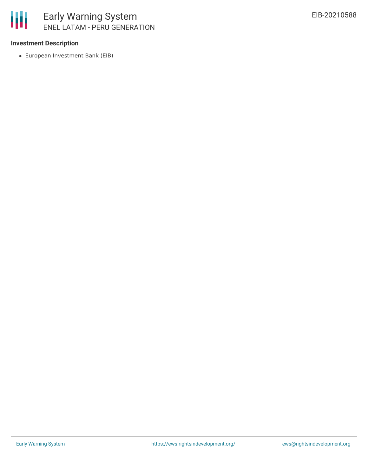

#### **Investment Description**

European Investment Bank (EIB)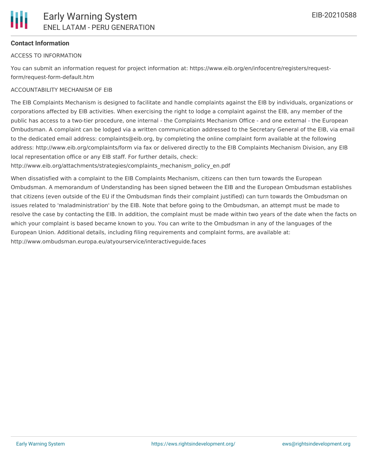#### **Contact Information**

#### ACCESS TO INFORMATION

You can submit an information request for project information at: https://www.eib.org/en/infocentre/registers/requestform/request-form-default.htm

#### ACCOUNTABILITY MECHANISM OF EIB

The EIB Complaints Mechanism is designed to facilitate and handle complaints against the EIB by individuals, organizations or corporations affected by EIB activities. When exercising the right to lodge a complaint against the EIB, any member of the public has access to a two-tier procedure, one internal - the Complaints Mechanism Office - and one external - the European Ombudsman. A complaint can be lodged via a written communication addressed to the Secretary General of the EIB, via email to the dedicated email address: complaints@eib.org, by completing the online complaint form available at the following address: http://www.eib.org/complaints/form via fax or delivered directly to the EIB Complaints Mechanism Division, any EIB local representation office or any EIB staff. For further details, check:

http://www.eib.org/attachments/strategies/complaints\_mechanism\_policy\_en.pdf

When dissatisfied with a complaint to the EIB Complaints Mechanism, citizens can then turn towards the European Ombudsman. A memorandum of Understanding has been signed between the EIB and the European Ombudsman establishes that citizens (even outside of the EU if the Ombudsman finds their complaint justified) can turn towards the Ombudsman on issues related to 'maladministration' by the EIB. Note that before going to the Ombudsman, an attempt must be made to resolve the case by contacting the EIB. In addition, the complaint must be made within two years of the date when the facts on which your complaint is based became known to you. You can write to the Ombudsman in any of the languages of the European Union. Additional details, including filing requirements and complaint forms, are available at: http://www.ombudsman.europa.eu/atyourservice/interactiveguide.faces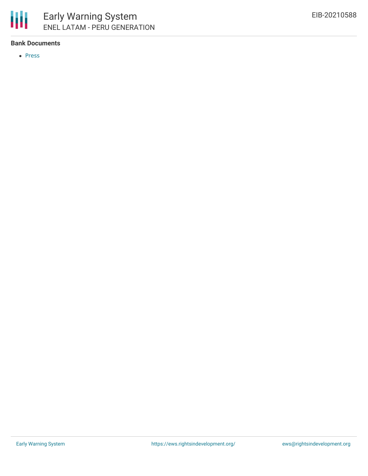

#### **Bank Documents**

• [Press](https://www.eib.org/en/press/all/2022-195-enel-agrees-on-eur600-million-facility-with-the-eib-and-sace-for-sustainability-linked-financing-in-latin-america)